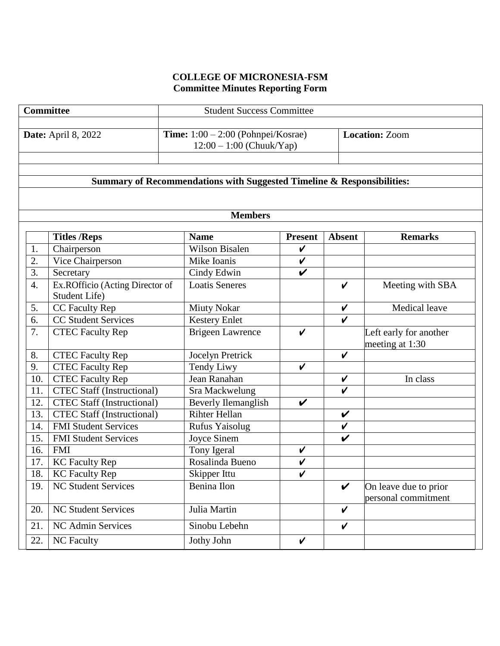# **COLLEGE OF MICRONESIA-FSM Committee Minutes Reporting Form**

| Committee                  |                                          |                                                  | <b>Student Success Committee</b>                                       |                    |                            |                                              |  |
|----------------------------|------------------------------------------|--------------------------------------------------|------------------------------------------------------------------------|--------------------|----------------------------|----------------------------------------------|--|
| <b>Date:</b> April 8, 2022 |                                          |                                                  | Time: $1:00 - 2:00$ (Pohnpei/Kosrae)<br>$12:00 - 1:00$ (Chuuk/Yap)     |                    |                            | <b>Location: Zoom</b>                        |  |
|                            |                                          |                                                  | Summary of Recommendations with Suggested Timeline & Responsibilities: |                    |                            |                                              |  |
|                            |                                          |                                                  |                                                                        |                    |                            |                                              |  |
|                            |                                          |                                                  | <b>Members</b>                                                         |                    |                            |                                              |  |
|                            |                                          | <b>Titles /Reps</b>                              | <b>Name</b>                                                            | <b>Present</b>     | <b>Absent</b>              | <b>Remarks</b>                               |  |
| 1.                         |                                          | Chairperson                                      | Wilson Bisalen                                                         | $\checkmark$       |                            |                                              |  |
| 2.                         |                                          | Vice Chairperson                                 | Mike Ioanis                                                            | $\checkmark$       |                            |                                              |  |
|                            | 3.<br>Secretary                          |                                                  | Cindy Edwin                                                            | V                  |                            |                                              |  |
| $\overline{4}$ .           |                                          | Ex.ROfficio (Acting Director of<br>Student Life) | <b>Loatis Seneres</b>                                                  |                    | $\boldsymbol{\nu}$         | Meeting with SBA                             |  |
|                            | CC Faculty Rep<br>5.                     |                                                  | <b>Miuty Nokar</b>                                                     |                    | $\boldsymbol{\mathcal{U}}$ | <b>Medical leave</b>                         |  |
|                            | <b>CC Student Services</b><br>6.         |                                                  | <b>Kestery Enlet</b>                                                   |                    | $\boldsymbol{\nu}$         |                                              |  |
| 7.                         | <b>CTEC Faculty Rep</b>                  |                                                  | <b>Brigeen Lawrence</b>                                                | V                  |                            | Left early for another<br>meeting at 1:30    |  |
| 8.                         |                                          | <b>CTEC Faculty Rep</b>                          | Jocelyn Pretrick                                                       |                    | $\boldsymbol{\mathcal{U}}$ |                                              |  |
| 9.                         |                                          | <b>CTEC Faculty Rep</b>                          | <b>Tendy Liwy</b>                                                      | $\boldsymbol{\nu}$ |                            |                                              |  |
|                            | 10.                                      | <b>CTEC Faculty Rep</b>                          | Jean Ranahan                                                           |                    | $\checkmark$               | In class                                     |  |
|                            | 11.                                      | <b>CTEC Staff (Instructional)</b>                | Sra Mackwelung                                                         |                    | $\boldsymbol{\nu}$         |                                              |  |
|                            | 12.                                      | <b>CTEC Staff (Instructional)</b>                | <b>Beverly Ilemanglish</b>                                             | V                  |                            |                                              |  |
|                            | <b>CTEC Staff (Instructional)</b><br>13. |                                                  | <b>Rihter Hellan</b>                                                   |                    | $\checkmark$               |                                              |  |
|                            | <b>FMI Student Services</b><br>14.       |                                                  | Rufus Yaisolug                                                         |                    | $\checkmark$               |                                              |  |
|                            | 15.<br><b>FMI Student Services</b>       |                                                  | Joyce Sinem                                                            |                    | $\checkmark$               |                                              |  |
|                            | 16.<br><b>FMI</b>                        |                                                  | Tony Igeral                                                            | V                  |                            |                                              |  |
|                            | 17.<br><b>KC Faculty Rep</b>             |                                                  | Rosalinda Bueno                                                        | $\checkmark$       |                            |                                              |  |
|                            | 18.<br><b>KC Faculty Rep</b>             |                                                  | Skipper Ittu                                                           | $\checkmark$       |                            |                                              |  |
|                            | 19.                                      | <b>NC Student Services</b>                       | Benina Ilon                                                            |                    | $\boldsymbol{\nu}$         | On leave due to prior<br>personal commitment |  |
|                            | <b>NC Student Services</b><br>20.        |                                                  | Julia Martin                                                           |                    | $\checkmark$               |                                              |  |
|                            | 21.                                      | NC Admin Services                                | Sinobu Lebehn                                                          |                    | $\checkmark$               |                                              |  |
|                            | 22.                                      | NC Faculty                                       | Jothy John                                                             | V                  |                            |                                              |  |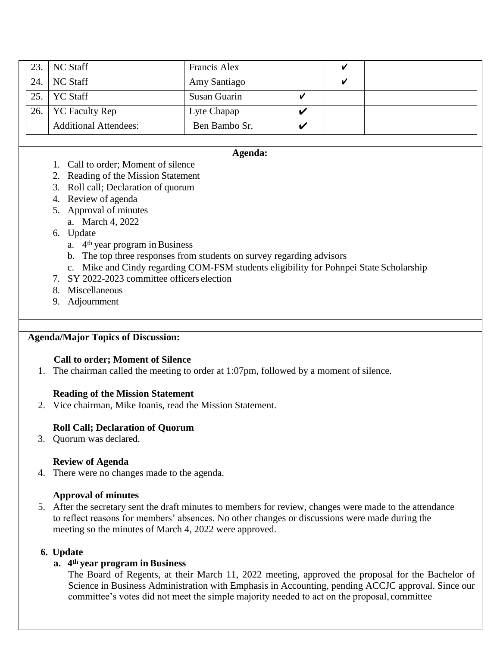| 23. $NC$ Staff               | Francis Alex  |  |  |
|------------------------------|---------------|--|--|
| 24. $NC$ Staff               | Amy Santiago  |  |  |
| 25. $\vert$ YC Staff         | Susan Guarin  |  |  |
| 26.   YC Faculty Rep         | Lyte Chapap   |  |  |
| <b>Additional Attendees:</b> | Ben Bambo Sr. |  |  |

#### **Agenda:**

- 1. Call to order; Moment of silence
- 2. Reading of the Mission Statement
- 3. Roll call; Declaration of quorum
- 4. Review of agenda
- 5. Approval of minutes
	- a. March 4, 2022
- 6. Update
	- a. 4th year program inBusiness
	- b. The top three responses from students on survey regarding advisors
- c. Mike and Cindy regarding COM-FSM students eligibility for Pohnpei State Scholarship
- 7. SY 2022-2023 committee officers election
- 8. Miscellaneous
- 9. Adjournment

#### **Agenda/Major Topics of Discussion:**

#### **Call to order; Moment of Silence**

1. The chairman called the meeting to order at 1:07pm, followed by a moment of silence.

#### **Reading of the Mission Statement**

2. Vice chairman, Mike Ioanis, read the Mission Statement.

### **Roll Call; Declaration of Quorum**

3. Quorum was declared.

#### **Review of Agenda**

4. There were no changes made to the agenda.

### **Approval of minutes**

5. After the secretary sent the draft minutes to members for review, changes were made to the attendance to reflect reasons for members' absences. No other changes or discussions were made during the meeting so the minutes of March 4, 2022 were approved.

### **6. Update**

### **a. 4th year program in Business**

The Board of Regents, at their March 11, 2022 meeting, approved the proposal for the Bachelor of Science in Business Administration with Emphasis in Accounting, pending ACCJC approval. Since our committee's votes did not meet the simple majority needed to act on the proposal, committee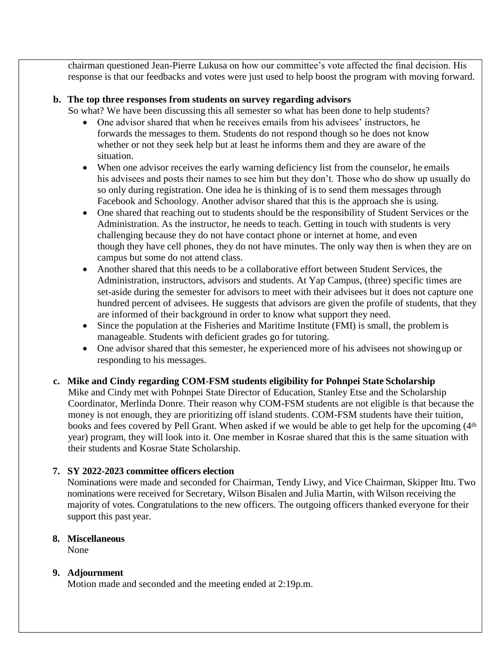chairman questioned Jean-Pierre Lukusa on how our committee's vote affected the final decision. His response is that our feedbacks and votes were just used to help boost the program with moving forward.

#### **b. The top three responses from students on survey regarding advisors**

So what? We have been discussing this all semester so what has been done to help students?

- One advisor shared that when he receives emails from his advisees' instructors, he forwards the messages to them. Students do not respond though so he does not know whether or not they seek help but at least he informs them and they are aware of the situation.
- When one advisor receives the early warning deficiency list from the counselor, he emails his advisees and posts their names to see him but they don't. Those who do show up usually do so only during registration. One idea he is thinking of is to send them messages through Facebook and Schoology. Another advisor shared that this is the approach she is using.
- One shared that reaching out to students should be the responsibility of Student Services or the Administration. As the instructor, he needs to teach. Getting in touch with students is very challenging because they do not have contact phone or internet at home, and even though they have cell phones, they do not have minutes. The only way then is when they are on campus but some do not attend class.
- Another shared that this needs to be a collaborative effort between Student Services, the Administration, instructors, advisors and students. At Yap Campus, (three) specific times are set-aside during the semester for advisors to meet with their advisees but it does not capture one hundred percent of advisees. He suggests that advisors are given the profile of students, that they are informed of their background in order to know what support they need.
- Since the population at the Fisheries and Maritime Institute (FMI) is small, the problem is manageable. Students with deficient grades go for tutoring.
- One advisor shared that this semester, he experienced more of his advisees not showingup or responding to his messages.
- **c. Mike and Cindy regarding COM-FSM students eligibility for Pohnpei State Scholarship** Mike and Cindy met with Pohnpei State Director of Education, Stanley Etse and the Scholarship Coordinator, Merlinda Donre. Their reason why COM-FSM students are not eligible is that because the money is not enough, they are prioritizing off island students. COM-FSM students have their tuition, books and fees covered by Pell Grant. When asked if we would be able to get help for the upcoming (4<sup>th</sup>) year) program, they will look into it. One member in Kosrae shared that this is the same situation with their students and Kosrae State Scholarship.

### **7. SY 2022-2023 committee officers election**

Nominations were made and seconded for Chairman, Tendy Liwy, and Vice Chairman, Skipper Ittu. Two nominations were received for Secretary, Wilson Bisalen and Julia Martin, with Wilson receiving the majority of votes. Congratulations to the new officers. The outgoing officers thanked everyone for their support this past year.

## **8. Miscellaneous**

None

### **9. Adjournment**

Motion made and seconded and the meeting ended at 2:19p.m.